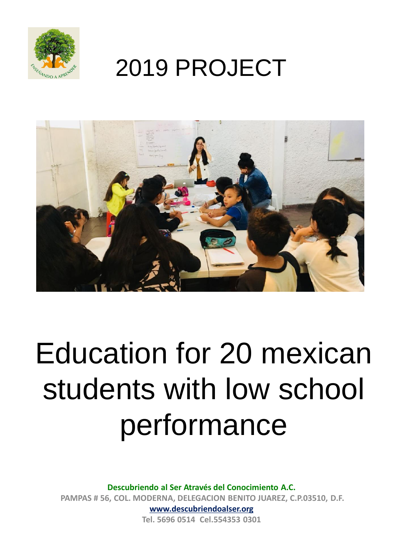

### 2019 PROJECT



# Education for 20 mexican students with low school performance

**Descubriendo al Ser Através del Conocimiento A.C. PAMPAS # 56, COL. MODERNA, DELEGACION BENITO JUAREZ, C.P.03510, D.F. www.descubriendoalser.org**

**Tel. 5696 0514 Cel.554353 0301**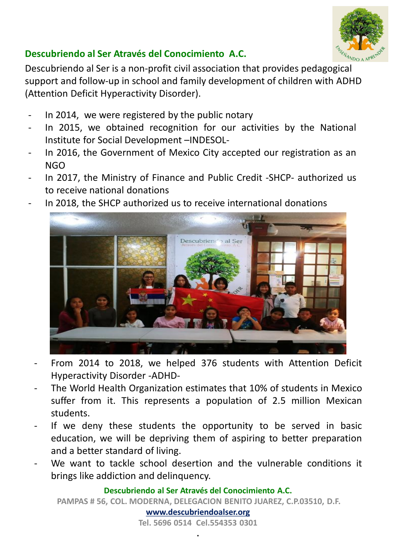

#### **Descubriendo al Ser Através del Conocimiento A.C.**

Descubriendo al Ser is a non-profit civil association that provides pedagogical support and follow-up in school and family development of children with ADHD (Attention Deficit Hyperactivity Disorder).

- In 2014, we were registered by the public notary
- In 2015, we obtained recognition for our activities by the National Institute for Social Development –INDESOL-
- In 2016, the Government of Mexico City accepted our registration as an NGO
- In 2017, the Ministry of Finance and Public Credit -SHCP- authorized us to receive national donations
- In 2018, the SHCP authorized us to receive international donations



- From 2014 to 2018, we helped 376 students with Attention Deficit Hyperactivity Disorder -ADHD-
- The World Health Organization estimates that 10% of students in Mexico suffer from it. This represents a population of 2.5 million Mexican students.
- If we deny these students the opportunity to be served in basic education, we will be depriving them of aspiring to better preparation and a better standard of living.
- We want to tackle school desertion and the vulnerable conditions it brings like addiction and delinquency.

**Descubriendo al Ser Através del Conocimiento A.C. PAMPAS # 56, COL. MODERNA, DELEGACION BENITO JUAREZ, C.P.03510, D.F. www.descubriendoalser.org**

**Tel. 5696 0514 Cel.554353 0301 .**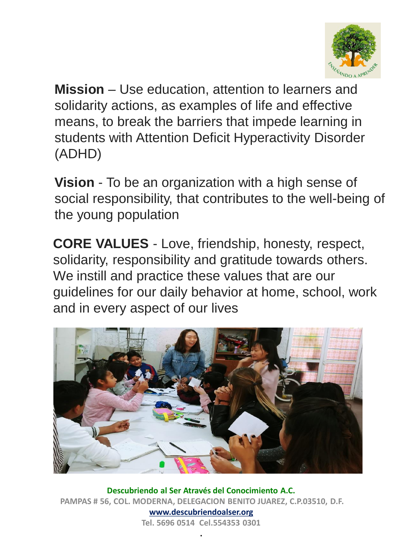

**Mission** – Use education, attention to learners and solidarity actions, as examples of life and effective means, to break the barriers that impede learning in students with Attention Deficit Hyperactivity Disorder (ADHD)

**Vision** - To be an organization with a high sense of social responsibility, that contributes to the well-being of the young population

**CORE VALUES** - Love, friendship, honesty, respect, solidarity, responsibility and gratitude towards others. We instill and practice these values that are our guidelines for our daily behavior at home, school, work and in every aspect of our lives



**Descubriendo al Ser Através del Conocimiento A.C. PAMPAS # 56, COL. MODERNA, DELEGACION BENITO JUAREZ, C.P.03510, D.F. www.descubriendoalser.org Tel. 5696 0514 Cel.554353 0301**

**.**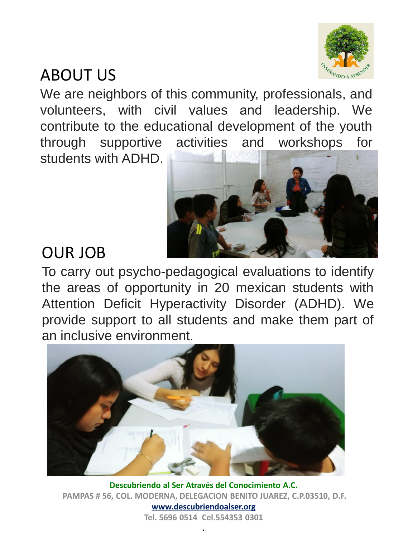

#### ABOUT US

We are neighbors of this community, professionals, and volunteers, with civil values and leadership. We contribute to the educational development of the youth through supportive activities and workshops for students with ADHD.



#### OUR JOB

To carry out psycho-pedagogical evaluations to identify the areas of opportunity in 20 mexican students with Attention Deficit Hyperactivity Disorder (ADHD). We provide support to all students and make them part of an inclusive environment.



**Descubriendo al Ser Através del Conocimiento A.C. PAMPAS # 56, COL. MODERNA, DELEGACION BENITO JUAREZ, C.P.03510, D.F. www.descubriendoalser.org Tel. 5696 0514 Cel.554353 0301**

**.**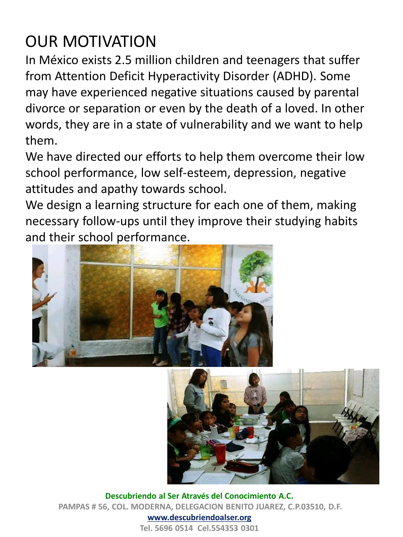#### OUR MOTIVATION

In México exists 2.5 million children and teenagers that suffer from Attention Deficit Hyperactivity Disorder (ADHD). Some may have experienced negative situations caused by parental divorce or separation or even by the death of a loved. In other words, they are in a state of vulnerability and we want to help them.

We have directed our efforts to help them overcome their low school performance, low self-esteem, depression, negative attitudes and apathy towards school.

We design a learning structure for each one of them, making necessary follow-ups until they improve their studying habits and their school performance.





**Descubriendo al Ser Através del Conocimiento A.C. PAMPAS # 56, COL. MODERNA, DELEGACION BENITO JUAREZ, C.P.03510, D.F. www.descubriendoalser.org**

**Tel. 5696 0514 Cel.554353 0301**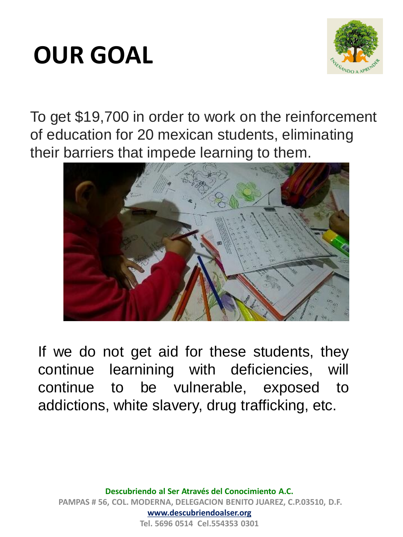## **OUR GOAL**



To get \$19,700 in order to work on the reinforcement of education for 20 mexican students, eliminating their barriers that impede learning to them.



If we do not get aid for these students, they continue learnining with deficiencies, will continue to be vulnerable, exposed to addictions, white slavery, drug trafficking, etc.

**Descubriendo al Ser Através del Conocimiento A.C. PAMPAS # 56, COL. MODERNA, DELEGACION BENITO JUAREZ, C.P.03510, D.F. www.descubriendoalser.org Tel. 5696 0514 Cel.554353 0301**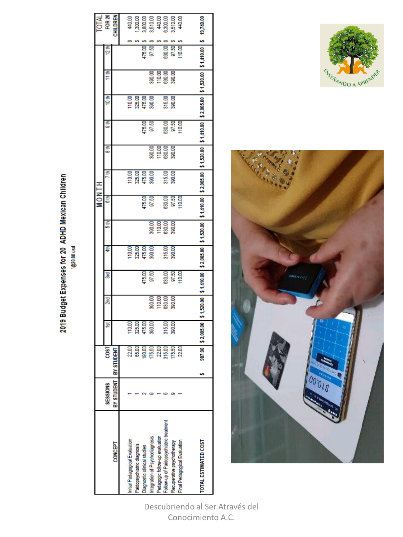2019 Budget Expenses for 20 ADHD Mexican Children

psn 00'0Z@,

|                                         |                 |                       |                                     |                                     |                                  |                  |                            | HINOM  |                                                        |                            |                 |                  |                            |               | TOTAL<br>FOR 20    |
|-----------------------------------------|-----------------|-----------------------|-------------------------------------|-------------------------------------|----------------------------------|------------------|----------------------------|--------|--------------------------------------------------------|----------------------------|-----------------|------------------|----------------------------|---------------|--------------------|
|                                         | <b>SESSIONS</b> | COSI                  | ă                                   | g                                   | g                                | 4th              | 5th                        | 6th    | ₽                                                      | $\frac{4}{3}$              | $\frac{4}{3}$   | 10 th            | t th                       | 12th          |                    |
| CONCEPT                                 |                 | BY STUDENT BY STUDENT |                                     |                                     |                                  |                  |                            |        |                                                        |                            |                 |                  |                            |               | CHILDREN           |
|                                         |                 |                       |                                     |                                     |                                  |                  |                            |        |                                                        |                            |                 |                  |                            |               |                    |
| nitial Pedagogical Evaluation           |                 | 22.00                 |                                     |                                     |                                  | 10.00            |                            |        |                                                        |                            |                 | 110.00           |                            |               |                    |
| Paidopsychiatric diagnosis              |                 | 85.00                 |                                     |                                     |                                  | 325.00           |                            |        |                                                        |                            |                 | 325.00           |                            |               | 440.00             |
| Diagnostic clinical studies             |                 | 190.00                | 110.00<br>28.00<br>475.00<br>300.00 |                                     | 475.00                           | 475.00<br>390.00 |                            | 475.00 | 110.00<br>325.00<br>475.00<br>300.00                   |                            |                 | 475.00<br>390.00 |                            | 475.00        | 3,800.00           |
| Integration of Psychodiagnosis          |                 | 175.50                |                                     |                                     | 97.50                            |                  | 380.00                     | 97.50  |                                                        | 390.00                     | 475.00<br>97.50 |                  | 390.00                     | 97.50         | 3,510.00           |
| Pedagogic follow-up evaluation          |                 | 22.00                 |                                     | 30.00<br>110.00<br>630.00<br>300.00 |                                  |                  |                            |        |                                                        | 110.00<br>890.00<br>390.00 |                 |                  | 110.00<br>630.00<br>390.00 |               |                    |
| Follow-up of Paidopsychiatric treatment |                 | 315.00                | 315.00<br>390.00                    |                                     | 630.00                           | 315.00<br>390.00 | 110.00<br>630.00<br>390.00 | 630.00 | 315.00<br>390.00                                       |                            |                 | 315.00<br>390.00 |                            | 630.00        | 440.00<br>0.300.00 |
| Recuperative psychotherapy              |                 | 175.50                |                                     |                                     | 97.50                            |                  |                            | 97.50  |                                                        |                            | 630.00<br>97.50 |                  |                            | 97.50         | 3,510.00<br>440.00 |
| Final Pedagogical Evaluation            |                 | 22.00                 |                                     |                                     | 10.00                            |                  |                            | 110.00 |                                                        |                            | 110.00          |                  |                            | 110.00        |                    |
|                                         |                 |                       |                                     |                                     |                                  |                  |                            |        |                                                        |                            |                 |                  |                            |               |                    |
| <b>TOTAL ESTIMATED COST</b>             |                 | 987.00                | 2,005.00                            |                                     | \$1,520.00 \$1,410.00 \$2,005.00 |                  | \$1,520.00 \$1,410.00      |        | \$2,005.00 \$1,520.00 \$1,410.00 \$2,005.00 \$1,520.00 |                            |                 |                  |                            | \$1,410.00 \$ | 19,740.00          |
|                                         |                 |                       |                                     |                                     |                                  |                  |                            |        |                                                        |                            |                 |                  |                            |               |                    |





Descubriendo al Ser Através del Conocimiento A.C.